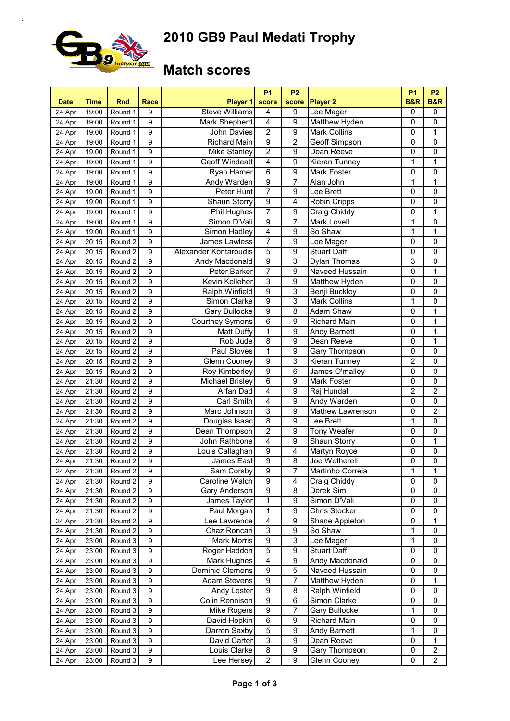

## **Match scores**

| <b>Date</b>         | <b>Time</b>    | <b>Rnd</b>         | Race   | Player 1                       | <b>P1</b><br>score      | P <sub>2</sub><br>score | <b>Player 2</b>                 | <b>P1</b><br><b>B&amp;R</b> | <b>P2</b><br><b>B&amp;R</b> |
|---------------------|----------------|--------------------|--------|--------------------------------|-------------------------|-------------------------|---------------------------------|-----------------------------|-----------------------------|
| 24 Apr              | 19:00          | Round 1            | 9      | <b>Steve Williams</b>          | 4                       | 9                       | Lee Mager                       | $\mathbf 0$                 | 0                           |
| 24 Apr              | 19:00          | Round 1            | 9      | Mark Shepherd                  | $\overline{4}$          | 9                       | Matthew Hyden                   | 0                           | $\mathbf 0$                 |
| 24 Apr              | 19:00          | Round 1            | 9      | John Davies                    | $\overline{2}$          | $\overline{9}$          | Mark Collins                    | 0                           | 1                           |
| 24 Apr              | 19:00          | Round 1            | 9      | <b>Richard Main</b>            | $\overline{9}$          | $\overline{2}$          | <b>Geoff Simpson</b>            | 0                           | $\pmb{0}$                   |
| 24 Apr              | 19:00          | Round 1            | 9      | Mike Stanley                   | $\overline{2}$          | $\overline{9}$          | Dean Reeve                      | 0                           | $\overline{0}$              |
| 24 Apr              | 19:00          | Round 1            | 9      | <b>Geoff Windeatt</b>          | $\overline{\mathbf{4}}$ | $\overline{9}$          | Kieran Tunney                   | 1                           | $\mathbf 1$                 |
| 24 Apr              | 19:00          | Round 1            | 9      | Ryan Hamer                     | 6                       | $\boldsymbol{9}$        | Mark Foster                     | $\mathbf 0$                 | $\pmb{0}$                   |
| 24 Apr              | 19:00          | Round 1            | 9      | Andy Warden                    | $\overline{9}$          | $\overline{7}$          | Alan John                       | 1                           | $\mathbf 1$                 |
| 24 Apr              | 19:00          | Round 1            | 9      | Peter Hunt                     | 7                       | 9                       | Lee Brett                       | $\mathbf 0$                 | $\pmb{0}$                   |
| 24 Apr              | 19:00          | Round 1            | 9      | Shaun Storry                   | $\overline{9}$          | $\overline{\mathbf{4}}$ | Robin Cripps                    | 0                           | $\pmb{0}$                   |
| 24 Apr              | 19:00          | Round 1            | 9      | Phil Hughes                    | 7                       | 9                       | Craig Chiddy                    | 0                           | 1                           |
| 24 Apr              | 19:00          | Round 1            | 9      | Simon D'Vali                   | 9                       | $\overline{7}$          | Mark Lovell                     | 1                           | 0                           |
| 24 Apr              | 19:00          | Round 1            | 9      | Simon Hadley                   | 4                       | 9                       | So Shaw                         | 1                           | 1                           |
| 24 Apr              | 20:15          | Round 2            | 9      | James Lawless                  | 7                       | $\overline{9}$          | Lee Mager                       | $\mathbf 0$                 | 0                           |
| 24 Apr              | 20:15          | Round 2            | 9      | Alexander Kontaroudis          | 5                       | $\overline{9}$          | <b>Stuart Daff</b>              | $\overline{0}$              | $\mathbf 0$                 |
| 24 Apr              | 20:15          | Round 2            | 9      | Andy Macdonald                 | $\overline{9}$          | 3                       | Dylan Thomas                    | 3                           | $\pmb{0}$                   |
| 24 Apr              | 20:15          | Round 2            | 9      | Peter Barker                   | $\overline{7}$          | $\overline{9}$          | Naveed Hussain                  | 0                           | 1                           |
| 24 Apr              | 20:15          | Round 2            | 9      | Kevin Kelleher                 | $\overline{3}$          | $\overline{9}$          | Matthew Hyden                   | 0                           | $\mathbf 0$                 |
| 24 Apr              | 20:15          | Round 2            | 9      | Ralph Winfield                 | $\overline{9}$          | $\overline{3}$          | Benji Buckley                   | 0                           | $\mathbf 0$                 |
| 24 Apr              | 20:15          | Round 2            | 9      | Simon Clarke                   | $\overline{9}$          | 3                       | <b>Mark Collins</b>             | 1                           | $\pmb{0}$                   |
| 24 Apr              | 20:15          | Round 2            | 9      | Gary Bullocke                  | 9                       | 8                       | Adam Shaw                       | 0                           | $\mathbf 1$                 |
| 24 Apr              | 20:15          | Round 2            | 9      | <b>Courtney Symons</b>         | 6                       | 9                       | Richard Main                    | 0                           | 1                           |
| 24 Apr              | 20:15          | Round 2            | 9      | <b>Matt Duffy</b>              | $\mathbf{1}$            | 9                       | Andy Barnett                    | $\mathbf 0$                 | 1                           |
| 24 Apr              | 20:15          | Round 2            | 9      | Rob Jude                       | 8                       | 9                       | Dean Reeve                      | $\mathbf 0$                 | 1                           |
|                     | 20:15          | Round 2            | 9      | Paul Stoves                    | 1                       | 9                       | Gary Thompson                   | $\mathbf 0$                 | $\pmb{0}$                   |
| 24 Apr<br>24 Apr    | 20:15          | Round 2            | 9      | Glenn Cooney                   | 9                       | 3                       | Kieran Tunney                   | $\overline{2}$              | $\pmb{0}$                   |
| $\overline{24}$ Apr |                | Round 2            | 9      | Roy Kimberley                  | $\overline{9}$          | 6                       | James O'malley                  | 0                           | $\pmb{0}$                   |
|                     | 20:15<br>21:30 | Round 2            | 9      | Michael Brisley                | 6                       | 9                       | Mark Foster                     | 0                           | 0                           |
| 24 Apr              |                |                    | 9      | Arfan Dad                      | 4                       | 9                       | Raj Hundal                      | 2                           | 2                           |
| 24 Apr              | 21:30          | Round 2<br>Round 2 | 9      | Carl Smith                     | 4                       | 9                       |                                 | 0                           | 0                           |
| 24 Apr              | 21:30          | Round 2            | 9      | Marc Johnson                   | 3                       | 9                       | Andy Warden<br>Mathew Lawrenson | 0                           | $\overline{2}$              |
| 24 Apr              | 21:30          | Round 2            | 9      |                                | $\overline{8}$          | $\overline{9}$          | Lee Brett                       | 1                           | $\overline{0}$              |
| 24 Apr              | 21:30          |                    | 9      | Douglas Isaac<br>Dean Thompson | $\overline{2}$          | $\overline{9}$          | Tony Weafer                     | $\overline{0}$              | $\overline{0}$              |
| 24 Apr<br>24 Apr    | 21:30<br>21:30 | Round 2<br>Round 2 | 9      | John Rathbone                  | $\overline{4}$          | $\overline{9}$          | Shaun Storry                    | 0                           | 1                           |
|                     |                |                    | 9      |                                | $\overline{9}$          | $\overline{4}$          |                                 | 0                           | $\pmb{0}$                   |
| 24 Apr              | 21:30          | Round 2            | 9      | Louis Callaghan                | $\overline{9}$          |                         | Martyn Royce<br>Joe Wetherell   | 0                           | 0                           |
| 24 Apr              | 21:30          | Round 2            | 9      | James East                     | $\overline{9}$          | 8<br>$\overline{7}$     |                                 | 1                           | $\mathbf 1$                 |
| 24 Apr              | 21:30          | Round 2            |        | Sam Corsby                     | 9                       | $\overline{4}$          | Martinho Correia                | 0                           | 0                           |
| 24 Apr              | 21:30          | Round 2            | 9      | Caroline Walch                 | 9                       | 8                       | Craig Chiddy                    |                             |                             |
| 24 Apr              | 21:30          | Round 2            | 9<br>9 | Gary Anderson<br>James Taylor  | $\mathbf{1}$            | $\boldsymbol{9}$        | Derek Sim<br>Simon D'Vali       | 0<br>0                      | 0<br>0                      |
| 24 Apr              | 21:30          | Round 2            | 9      |                                | 1                       | 9                       |                                 | 0                           | 0                           |
| 24 Apr              | 21:30          | Round 2            |        | Paul Morgan                    | $\overline{\mathbf{4}}$ |                         | Chris Stocker                   |                             |                             |
| 24 Apr              | 21:30          | Round 2            | 9      | Lee Lawrence                   | 3                       | 9                       | Shane Appleton<br>So Shaw       | 0                           | 1                           |
| 24 Apr              | 21:30          | Round 2            | 9      | Chaz Roncari                   | 9                       | 9<br>3                  | Lee Mager                       | 1                           | 0                           |
| 24 Apr              | 23:00          | Round 3            | 9      | Mark Morris                    |                         |                         |                                 | 1                           | 0                           |
| 24 Apr              | 23:00          | Round 3            | 9      | Roger Haddon                   | 5                       | 9                       | <b>Stuart Daff</b>              | 0                           | 0                           |
| 24 Apr              | 23:00          | Round 3            | 9      | Mark Hughes                    | 4                       | 9                       | Andy Macdonald                  | 0                           | 0                           |
| 24 Apr              | 23:00          | Round 3            | 9      | Dominic Clemens                | $\boldsymbol{9}$        | $\overline{5}$          | Naveed Hussain                  | 0                           | 0                           |
| 24 Apr              | 23:00          | Round 3            | 9      | <b>Adam Stevens</b>            | $\overline{9}$          | $\overline{7}$          | Matthew Hyden                   | 0                           | 1                           |
| 24 Apr              | 23:00          | Round 3            | 9      | Andy Lester                    | $\overline{9}$          | 8                       | Ralph Winfield                  | $\pmb{0}$                   | 0                           |
| 24 Apr              | 23:00          | Round 3            | 9      | Colin Rennison                 | 9                       | 6                       | Simon Clarke                    | 0                           | 0                           |
| 24 Apr              | 23:00          | Round 3            | 9      | Mike Rogers                    | $\overline{9}$          | 7                       | Gary Bullocke                   | 1                           | 0                           |
| 24 Apr              | 23:00          | Round 3            | 9      | David Hopkin                   | $\overline{6}$          | $\overline{9}$          | Richard Main                    | 0                           | 0                           |
| 24 Apr              | 23:00          | Round 3            | 9      | Darren Saxby                   | $\overline{5}$          | $\overline{9}$          | Andy Barnett                    | 1                           | 0                           |
| 24 Apr              | 23:00          | Round 3            | 9      | David Carter                   | 3                       | 9                       | Dean Reeve                      | 0                           | 1                           |
| 24 Apr              | 23:00          | Round 3            | 9      | Louis Clarke                   | 8                       | 9                       | Gary Thompson                   | $\mathbf 0$                 | $\overline{2}$              |
| 24 Apr              | 23:00          | Round 3            | 9      | Lee Hersey                     | $\overline{2}$          | 9                       | Glenn Cooney                    | $\mathbf 0$                 | $\overline{2}$              |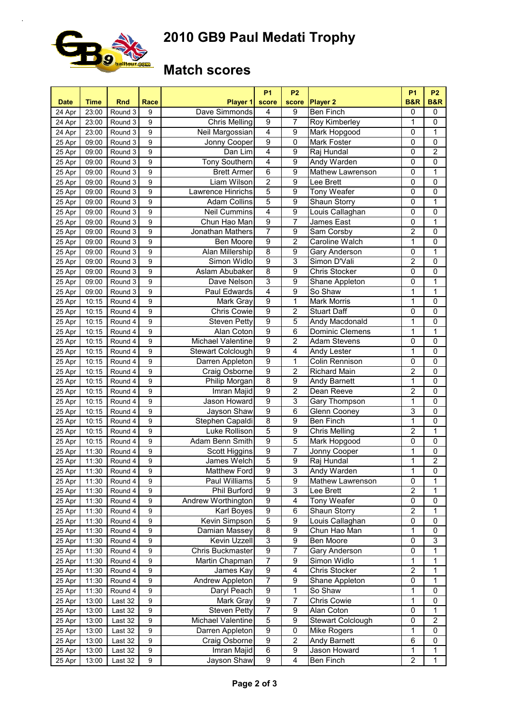

## **Match scores**

|             |             |            |                |                      | <b>P1</b>        | P <sub>2</sub>          |                       | <b>P1</b>      | <b>P2</b>      |
|-------------|-------------|------------|----------------|----------------------|------------------|-------------------------|-----------------------|----------------|----------------|
| <b>Date</b> | <b>Time</b> | <b>Rnd</b> | Race           | Player 1             | score            | score                   | <b>Player 2</b>       | <b>B&amp;R</b> | <b>B&amp;R</b> |
| 24 Apr      | 23:00       | Round 3    | 9              | Dave Simmonds        | $\overline{4}$   | 9                       | <b>Ben Finch</b>      | $\mathbf 0$    | $\mathbf 0$    |
| 24 Apr      | 23:00       | Round 3    | 9              | <b>Chris Melling</b> | 9                | $\overline{7}$          | Roy Kimberley         | 1              | $\pmb{0}$      |
| 24 Apr      | 23:00       | Round 3    | 9              | Neil Margossian      | $\overline{4}$   | 9                       | Mark Hopgood          | $\mathbf 0$    | $\mathbf 1$    |
| 25 Apr      | 09:00       | Round 3    | 9              | Jonny Cooper         | $\overline{9}$   | 0                       | Mark Foster           | $\mathbf 0$    | $\pmb{0}$      |
| 25 Apr      | 09:00       | Round 3    | 9              | Dan Lim              | $\overline{4}$   | $\overline{9}$          | Raj Hundal            | $\mathbf 0$    | $\overline{2}$ |
| 25 Apr      | 09:00       | Round 3    | 9              | <b>Tony Southern</b> | $\overline{4}$   | 9                       | Andy Warden           | $\mathbf 0$    | $\pmb{0}$      |
| 25 Apr      | 09:00       | Round 3    | 9              | <b>Brett Armer</b>   | 6                | 9                       | Mathew Lawrenson      | $\mathbf 0$    | $\mathbf 1$    |
| 25 Apr      | 09:00       | Round 3    | 9              | Liam Wilson          | $\overline{2}$   | 9                       | Lee Brett             | $\mathbf 0$    | $\pmb{0}$      |
| 25 Apr      | 09:00       | Round 3    | 9              | Lawrence Hinrichs    | 5                | 9                       | Tony Weafer           | 0              | 0              |
| 25 Apr      | 09:00       | Round 3    | 9              | <b>Adam Collins</b>  | 5                | 9                       | Shaun Storry          | 0              | 1              |
| 25 Apr      | 09:00       | Round 3    | 9              | <b>Neil Cummins</b>  | 4                | 9                       | Louis Callaghan       | 0              | 0              |
| 25 Apr      | 09:00       | Round 3    | 9              | Chun Hao Man         | $\boldsymbol{9}$ | 7                       | James East            | 0              | 1              |
| 25 Apr      | 09:00       | Round 3    | 9              | Jonathan Mathers     | $\overline{7}$   | 9                       | Sam Corsby            | 2              | 0              |
| 25 Apr      | 09:00       | Round 3    | 9              | Ben Moore            | $\overline{9}$   | $\overline{c}$          | <b>Caroline Walch</b> | 1              | $\mathbf 0$    |
| 25 Apr      | 09:00       | Round 3    | 9              | Alan Millership      | $\overline{8}$   | $\overline{9}$          | Gary Anderson         | $\overline{0}$ | 1              |
| 25 Apr      | 09:00       | Round 3    | 9              | Simon Widlo          | $\overline{9}$   | 3                       | Simon D'Vali          | $\overline{2}$ | $\mathbf 0$    |
| 25 Apr      | 09:00       | Round 3    | 9              | Aslam Abubaker       | 8                | 9                       | <b>Chris Stocker</b>  | 0              | 0              |
| 25 Apr      | 09:00       | Round 3    | 9              | Dave Nelson          | $\overline{3}$   | 9                       | Shane Appleton        | 0              | 1              |
| 25 Apr      | 09:00       | Round 3    | 9              | Paul Edwards         | $\overline{4}$   | 9                       | So Shaw               | 1              | 1              |
| 25 Apr      | 10:15       | Round 4    | 9              | Mark Gray            | $\overline{9}$   | $\mathbf{1}$            | <b>Mark Morris</b>    | 1              | $\mathbf 0$    |
| 25 Apr      | 10:15       | Round 4    | 9              | <b>Chris Cowie</b>   | $\boldsymbol{9}$ | $\overline{2}$          | <b>Stuart Daff</b>    | 0              | $\mathbf 0$    |
| 25 Apr      | 10:15       | Round 4    | 9              | <b>Steven Petty</b>  | $\overline{9}$   | 5                       | Andy Macdonald        | 1              | $\mathbf 0$    |
| 25 Apr      | 10:15       | Round 4    | 9              | Alan Coton           | $\boldsymbol{9}$ | 6                       | Dominic Clemens       | 1              | 1              |
| 25 Apr      | 10:15       | Round 4    | 9              | Michael Valentine    | $\overline{9}$   | $\overline{2}$          | <b>Adam Stevens</b>   | 0              | $\pmb{0}$      |
| 25 Apr      | 10:15       | Round 4    | 9              | Stewart Colclough    | 9                | 4                       | Andy Lester           | 1              | $\pmb{0}$      |
| 25 Apr      | 10:15       | Round 4    | 9              | Darren Appleton      | $\overline{9}$   | 1                       | Colin Rennison        | 0              | 0              |
| 25 Apr      | 10:15       | Round 4    | 9              | Craig Osborne        | 9                | $\overline{\mathbf{c}}$ | Richard Main          | 2              | 0              |
| 25 Apr      | 10:15       | Round 4    | 9              | Philip Morgan        | 8                | 9                       | Andy Barnett          | 1              | $\mathbf 0$    |
| 25 Apr      | 10:15       | Round 4    | 9              | Imran Majid          | $\overline{9}$   | $\overline{2}$          | Dean Reeve            | $\overline{c}$ | 0              |
| 25 Apr      | 10:15       | Round 4    | 9              | Jason Howard         | $\overline{9}$   | 3                       | Gary Thompson         | 1              | $\mathbf 0$    |
| 25 Apr      | 10:15       | Round 4    | 9              | Jayson Shaw          | $\overline{9}$   | 6                       | Glenn Cooney          | 3              | $\mathbf 0$    |
| 25 Apr      | 10:15       | Round 4    | 9              | Stephen Capaldi      | $\overline{8}$   | $\overline{9}$          | <b>Ben Finch</b>      | 1              | $\overline{0}$ |
| 25 Apr      | 10:15       | Round 4    | 9              | <b>Luke Rollison</b> | $\overline{5}$   | $\overline{9}$          | Chris Melling         | $\overline{2}$ | 1              |
| 25 Apr      | 10:15       | Round 4    | 9              | Adam Benn Smith      | $\overline{9}$   | $\overline{5}$          | Mark Hopgood          | 0              | $\mathbf 0$    |
| 25 Apr      | 11:30       | Round 4    | 9              | Scott Higgins        | $\overline{9}$   | $\overline{7}$          | Jonny Cooper          | 1              | $\overline{0}$ |
| 25 Apr      | 11:30       | Round 4    | 9              | James Welch          | 5                | 9                       | Raj Hundal            | 1              | $\overline{2}$ |
| 25 Apr      | 11:30       | Round 4    | $\overline{9}$ | Matthew Ford         | $\overline{9}$   | $\overline{3}$          | Andy Warden           | 1              | $\overline{0}$ |
| 25 Apr      | 11:30       | Round 4    | 9              | Paul Williams        | 5                | 9                       | Mathew Lawrenson      | 0              | 1              |
| 25 Apr      | 11:30       | Round 4    | 9              | Phil Burford         | 9                | 3                       | Lee Brett             | $\overline{2}$ | 1              |
| 25 Apr      | 11:30       | Round 4    | 9              | Andrew Worthington   | 9                | 4                       | Tony Weafer           | 0              | 0              |
| 25 Apr      | 11:30       | Round 4    | 9              | Karl Boyes           | 9                | 6                       | Shaun Storry          | $\mathbf 2$    | 1              |
| 25 Apr      | 11:30       | Round 4    | 9              | Kevin Simpson        | 5                | 9                       | Louis Callaghan       | 0              | 0              |
| 25 Apr      | 11:30       | Round 4    | 9              | Damian Massey        | $\overline{8}$   | 9                       | Chun Hao Man          | 1              | 0              |
| 25 Apr      | 11:30       | Round 4    | 9              | Kevin Uzzell         | 3                | 9                       | Ben Moore             | 0              | 3              |
| 25 Apr      | 11:30       | Round 4    | 9              | Chris Buckmaster     | 9                | 7                       | Gary Anderson         | 0              | 1              |
| 25 Apr      | 11:30       | Round 4    | 9              | Martin Chapman       | $\overline{7}$   | 9                       | Simon Widlo           | 1              | 1              |
| 25 Apr      | 11:30       | Round 4    | 9              | James Kay            | $\boldsymbol{9}$ | $\overline{4}$          | Chris Stocker         | 2              | 1              |
| 25 Apr      | 11:30       | Round 4    | 9              | Andrew Appleton      | $\overline{7}$   | 9                       | Shane Appleton        | 0              | 1              |
| 25 Apr      | 11:30       | Round 4    | 9              | Daryl Peach          | 9                | $\mathbf{1}$            | So Shaw               | 1              | 0              |
| 25 Apr      | 13:00       | Last 32    | 9              | Mark Gray            | $\overline{9}$   | $\overline{7}$          | Chris Cowie           | 1              | 0              |
| 25 Apr      | 13:00       | Last 32    | 9              | <b>Steven Petty</b>  | $\overline{7}$   | $\overline{9}$          | Alan Coton            | 0              | 1              |
| 25 Apr      | 13:00       | Last 32    | 9              | Michael Valentine    | $\overline{5}$   | $\overline{9}$          | Stewart Colclough     | 0              | $\overline{2}$ |
| 25 Apr      | 13:00       | Last 32    | 9              | Darren Appleton      | $\overline{9}$   | $\overline{0}$          | Mike Rogers           | 1              | 0              |
| 25 Apr      | 13:00       | Last 32    | 9              | Craig Osborne        | $\boldsymbol{9}$ | $\overline{2}$          | Andy Barnett          | 6              | $\mathbf 0$    |
| 25 Apr      | 13:00       | Last 32    | 9              | Imran Majid          | 6                | $\overline{9}$          | Jason Howard          | 1              | 1              |
| 25 Apr      | 13:00       | Last 32    | 9              | Jayson Shaw          | 9                | 4                       | Ben Finch             | $\overline{2}$ | 1              |